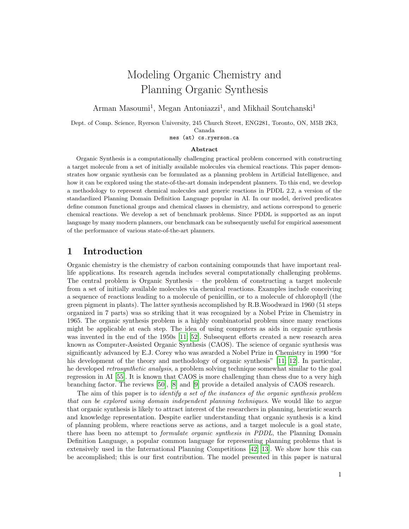# Modeling Organic Chemistry and Planning Organic Synthesis

Arman Masoumi<sup>1</sup>, Megan Antoniazzi<sup>1</sup>, and Mikhail Soutchanski<sup>1</sup>

Dept. of Comp. Science, Ryerson University, 245 Church Street, ENG281, Toronto, ON, M5B 2K3, Canada

mes (at) cs.ryerson.ca

#### Abstract

Organic Synthesis is a computationally challenging practical problem concerned with constructing a target molecule from a set of initially available molecules via chemical reactions. This paper demonstrates how organic synthesis can be formulated as a planning problem in Artificial Intelligence, and how it can be explored using the state-of-the-art domain independent planners. To this end, we develop a methodology to represent chemical molecules and generic reactions in PDDL 2.2, a version of the standardized Planning Domain Definition Language popular in AI. In our model, derived predicates define common functional groups and chemical classes in chemistry, and actions correspond to generic chemical reactions. We develop a set of benchmark problems. Since PDDL is supported as an input language by many modern planners, our benchmark can be subsequently useful for empirical assessment of the performance of various state-of-the-art planners.

#### 1 Introduction

Organic chemistry is the chemistry of carbon containing compounds that have important reallife applications. Its research agenda includes several computationally challenging problems. The central problem is Organic Synthesis – the problem of constructing a target molecule from a set of initially available molecules via chemical reactions. Examples include conceiving a sequence of reactions leading to a molecule of penicillin, or to a molecule of chlorophyll (the green pigment in plants). The latter synthesis accomplished by R.B.Woodward in 1960 (51 steps organized in 7 parts) was so striking that it was recognized by a Nobel Prize in Chemistry in 1965. The organic synthesis problem is a highly combinatorial problem since many reactions might be applicable at each step. The idea of using computers as aids in organic synthesis was invented in the end of the 1950s [\[11;](#page-16-0) [52\]](#page-18-0). Subsequent efforts created a new research area known as Computer-Assisted Organic Synthesis (CAOS). The science of organic synthesis was significantly advanced by E.J. Corey who was awarded a Nobel Prize in Chemistry in 1990 "for his development of the theory and methodology of organic synthesis" [\[11;](#page-16-0) [12\]](#page-16-1). In particular, he developed retrosynthetic analysis, a problem solving technique somewhat similar to the goal regression in AI [\[55\]](#page-18-1). It is known that CAOS is more challenging than chess due to a very high branching factor. The reviews [\[50\]](#page-18-2), [\[8\]](#page-16-2) and [\[9\]](#page-16-3) provide a detailed analysis of CAOS research.

The aim of this paper is to *identify a set of the instances of the organic synthesis problem* that can be explored using domain independent planning techniques. We would like to argue that organic synthesis is likely to attract interest of the researchers in planning, heuristic search and knowledge representation. Despite earlier understanding that organic synthesis is a kind of planning problem, where reactions serve as actions, and a target molecule is a goal state, there has been no attempt to formulate organic synthesis in PDDL, the Planning Domain Definition Language, a popular common language for representing planning problems that is extensively used in the International Planning Competitions [\[42;](#page-18-3) [13\]](#page-16-4). We show how this can be accomplished; this is our first contribution. The model presented in this paper is natural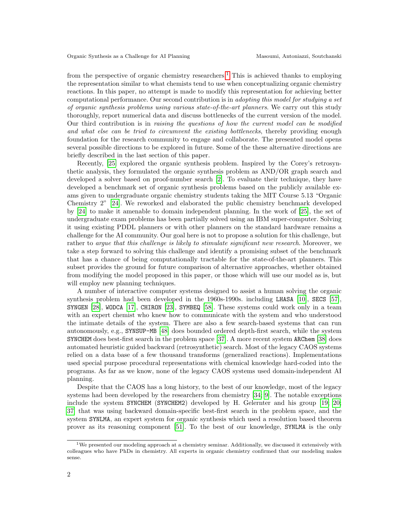from the perspective of organic chemistry researchers.<sup>[1](#page-1-0)</sup> This is achieved thanks to employing the representation similar to what chemists tend to use when conceptualizing organic chemistry reactions. In this paper, no attempt is made to modify this representation for achieving better computational performance. Our second contribution is in adopting this model for studying a set of organic synthesis problems using various state-of-the-art planners. We carry out this study thoroughly, report numerical data and discuss bottlenecks of the current version of the model. Our third contribution is in raising the questions of how the current model can be modified and what else can be tried to circumvent the existing bottlenecks, thereby providing enough foundation for the research community to engage and collaborate. The presented model opens several possible directions to be explored in future. Some of the these alternative directions are briefly described in the last section of this paper.

Recently, [\[25\]](#page-17-0) explored the organic synthesis problem. Inspired by the Corey's retrosynthetic analysis, they formulated the organic synthesis problem as AND/OR graph search and developed a solver based on proof-number search [\[2\]](#page-16-5). To evaluate their technique, they have developed a benchmark set of organic synthesis problems based on the publicly available exams given to undergraduate organic chemistry students taking the MIT Course 5.13 "Organic Chemistry 2" [\[24\]](#page-17-1). We reworked and elaborated the public chemistry benchmark developed by [\[24\]](#page-17-1) to make it amenable to domain independent planning. In the work of [\[25\]](#page-17-0), the set of undergraduate exam problems has been partially solved using an IBM super-computer. Solving it using existing PDDL planners or with other planners on the standard hardware remains a challenge for the AI community. Our goal here is not to propose a solution for this challenge, but rather to *arque that this challenge is likely to stimulate significant new research*. Moreover, we take a step forward to solving this challenge and identify a promising subset of the benchmark that has a chance of being computationally tractable for the state-of-the-art planners. This subset provides the ground for future comparison of alternative approaches, whether obtained from modifying the model proposed in this paper, or those which will use our model as is, but will employ new planning techniques.

A number of interactive computer systems designed to assist a human solving the organic synthesis problem had been developed in the 1960s-1990s. including LHASA [\[10\]](#page-16-6), SECS [\[57\]](#page-18-4), SYNGEN [\[28\]](#page-17-2), WODCA [\[17\]](#page-16-7), CHIRON [\[23\]](#page-17-3), SYMBEQ [\[58\]](#page-18-5). These systems could work only in a team with an expert chemist who knew how to communicate with the system and who understood the intimate details of the system. There are also a few search-based systems that can run autonomously, e.g., SYNSUP-MB [\[48\]](#page-18-6) does bounded ordered depth-first search, while the system SYNCHEM does best-first search in the problem space [\[37\]](#page-17-4). A more recent system ARChem [\[38\]](#page-17-5) does automated heuristic guided backward (retrosynthetic) search. Most of the legacy CAOS systems relied on a data base of a few thousand transforms (generalized reactions). Implementations used special purpose procedural representations with chemical knowledge hard-coded into the programs. As far as we know, none of the legacy CAOS systems used domain-independent AI planning.

Despite that the CAOS has a long history, to the best of our knowledge, most of the legacy systems had been developed by the researchers from chemistry [\[34;](#page-17-6) [9\]](#page-16-3). The notable exceptions include the system SYNCHEM (SYNCHEM2) developed by H. Gelernter and his group [\[19;](#page-16-8) [20;](#page-16-9) [37\]](#page-17-4) that was using backward domain-specific best-first search in the problem space, and the system SYNLMA, an expert system for organic synthesis which used a resolution based theorem prover as its reasoning component [\[51\]](#page-18-7). To the best of our knowledge, SYNLMA is the only

<span id="page-1-0"></span><sup>&</sup>lt;sup>1</sup>We presented our modeling approach at a chemistry seminar. Additionally, we discussed it extensively with colleagues who have PhDs in chemistry. All experts in organic chemistry confirmed that our modeling makes sense.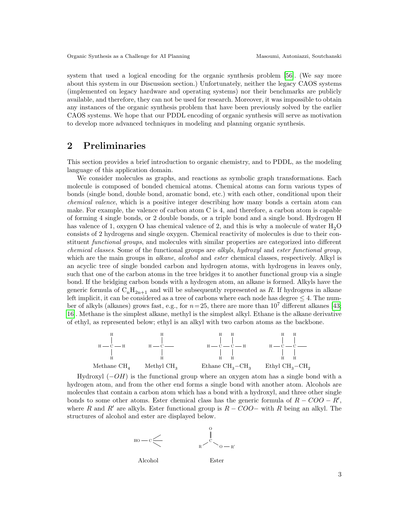system that used a logical encoding for the organic synthesis problem [\[56\]](#page-18-8). (We say more about this system in our Discussion section.) Unfortunately, neither the legacy CAOS systems (implemented on legacy hardware and operating systems) nor their benchmarks are publicly available, and therefore, they can not be used for research. Moreover, it was impossible to obtain any instances of the organic synthesis problem that have been previously solved by the earlier CAOS systems. We hope that our PDDL encoding of organic synthesis will serve as motivation to develop more advanced techniques in modeling and planning organic synthesis.

# 2 Preliminaries

This section provides a brief introduction to organic chemistry, and to PDDL, as the modeling language of this application domain.

We consider molecules as graphs, and reactions as symbolic graph transformations. Each molecule is composed of bonded chemical atoms. Chemical atoms can form various types of bonds (single bond, double bond, aromatic bond, etc.) with each other, conditional upon their chemical valence, which is a positive integer describing how many bonds a certain atom can make. For example, the valence of carbon atom C is 4, and therefore, a carbon atom is capable of forming 4 single bonds, or 2 double bonds, or a triple bond and a single bond. Hydrogen H has valence of 1, oxygen O has chemical valence of 2, and this is why a molecule of water  $H_2O$ consists of 2 hydrogens and single oxygen. Chemical reactivity of molecules is due to their constituent *functional groups*, and molecules with similar properties are categorized into different chemical classes. Some of the functional groups are alkyls, hydroxyl and ester functional group, which are the main groups in *alkane*, *alcohol* and *ester* chemical classes, respectively. Alkyl is an acyclic tree of single bonded carbon and hydrogen atoms, with hydrogens in leaves only, such that one of the carbon atoms in the tree bridges it to another functional group via a single bond. If the bridging carbon bonds with a hydrogen atom, an alkane is formed. Alkyls have the generic formula of  $C_nH_{2n+1}$  and will be subsequently represented as R. If hydrogens in alkane left implicit, it can be considered as a tree of carbons where each node has degree  $\leq 4$ . The number of alkyls (alkanes) grows fast, e.g., for  $n=25$ , there are more than  $10^7$  different alkanes [\[43;](#page-18-9) [16\]](#page-16-10). Methane is the simplest alkane, methyl is the simplest alkyl. Ethane is the alkane derivative of ethyl, as represented below; ethyl is an alkyl with two carbon atoms as the backbone.



Hydroxyl  $(-OH)$  is the functional group where an oxygen atom has a single bond with a hydrogen atom, and from the other end forms a single bond with another atom. Alcohols are molecules that contain a carbon atom which has a bond with a hydroxyl, and three other single bonds to some other atoms. Ester chemical class has the generic formula of  $R - COO - R'$ , where R and R' are alkyls. Ester functional group is  $R - COO-$  with R being an alkyl. The structures of alcohol and ester are displayed below.





Ester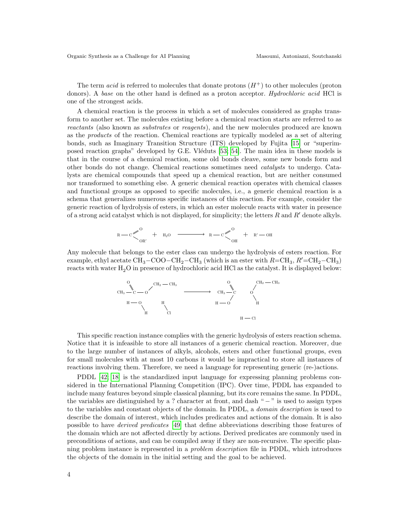The term *acid* is referred to molecules that donate protons  $(H^+)$  to other molecules (proton donors). A base on the other hand is defined as a proton acceptor. *Hydrochloric acid* HCl is one of the strongest acids.

A chemical reaction is the process in which a set of molecules considered as graphs transform to another set. The molecules existing before a chemical reaction starts are referred to as reactants (also known as substrates or reagents), and the new molecules produced are known as the products of the reaction. Chemical reactions are typically modeled as a set of altering bonds, such as Imaginary Transition Structure (ITS) developed by Fujita [\[15\]](#page-16-11) or "superimposed reaction graphs" developed by G.E. Vléduts  $[53; 54]$  $[53; 54]$ . The main idea in these models is that in the course of a chemical reaction, some old bonds cleave, some new bonds form and other bonds do not change. Chemical reactions sometimes need catalysts to undergo. Catalysts are chemical compounds that speed up a chemical reaction, but are neither consumed nor transformed to something else. A generic chemical reaction operates with chemical classes and functional groups as opposed to specific molecules, i.e., a generic chemical reaction is a schema that generalizes numerous specific instances of this reaction. For example, consider the generic reaction of hydrolysis of esters, in which an ester molecule reacts with water in presence of a strong acid catalyst which is not displayed, for simplicity; the letters  $R$  and  $R'$  denote alkyls.

$$
R - C \mathop{\bigtriangledown_{\hspace{-1.1em}O\hspace{-1.25em}R}}^0 \qquad \qquad + \quad H_2O \quad \xrightarrow{\hspace*{1.3em}H_2O} \quad R - C \mathop{\bigtriangledown_{\hspace{-1.1em}O\hspace{-1.25em}H}}^O \quad + \quad R' - OH
$$

Any molecule that belongs to the ester class can undergo the hydrolysis of esters reaction. For example, ethyl acetate CH<sub>3</sub> –COO–CH<sub>2</sub> –CH<sub>3</sub> (which is an ester with  $R = \text{CH}_3$ ,  $R' = \text{CH}_2 - \text{CH}_3$ ) reacts with water  $H_2O$  in presence of hydrochloric acid HCl as the catalyst. It is displayed below:



This specific reaction instance complies with the generic hydrolysis of esters reaction schema. Notice that it is infeasible to store all instances of a generic chemical reaction. Moreover, due to the large number of instances of alkyls, alcohols, esters and other functional groups, even for small molecules with at most 10 carbons it would be impractical to store all instances of reactions involving them. Therefore, we need a language for representing generic (re-)actions.

PDDL [\[42;](#page-18-3) [18\]](#page-16-12) is the standardized input language for expressing planning problems considered in the International Planning Competition (IPC). Over time, PDDL has expanded to include many features beyond simple classical planning, but its core remains the same. In PDDL, the variables are distinguished by a ? character at front, and dash " $-$ " is used to assign types to the variables and constant objects of the domain. In PDDL, a domain description is used to describe the domain of interest, which includes predicates and actions of the domain. It is also possible to have derived predicates [\[49\]](#page-18-12) that define abbreviations describing those features of the domain which are not affected directly by actions. Derived predicates are commonly used in preconditions of actions, and can be compiled away if they are non-recursive. The specific planning problem instance is represented in a problem description file in PDDL, which introduces the objects of the domain in the initial setting and the goal to be achieved.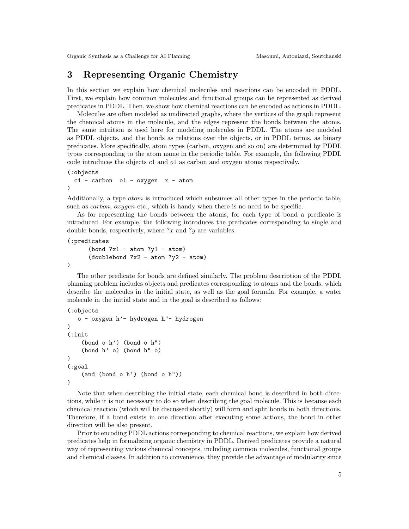# 3 Representing Organic Chemistry

In this section we explain how chemical molecules and reactions can be encoded in PDDL. First, we explain how common molecules and functional groups can be represented as derived predicates in PDDL. Then, we show how chemical reactions can be encoded as actions in PDDL.

Molecules are often modeled as undirected graphs, where the vertices of the graph represent the chemical atoms in the molecule, and the edges represent the bonds between the atoms. The same intuition is used here for modeling molecules in PDDL. The atoms are modeled as PDDL objects, and the bonds as relations over the objects, or in PDDL terms, as binary predicates. More specifically, atom types (carbon, oxygen and so on) are determined by PDDL types corresponding to the atom name in the periodic table. For example, the following PDDL code introduces the objects c1 and o1 as carbon and oxygen atoms respectively.

```
(:objects
```

```
c1 - carbon o1 - oxygen x - atom
)
```
Additionally, a type atom is introduced which subsumes all other types in the periodic table, such as *carbon*, *oxygen* etc., which is handy when there is no need to be specific.

As for representing the bonds between the atoms, for each type of bond a predicate is introduced. For example, the following introduces the predicates corresponding to single and double bonds, respectively, where  $x$  and  $y$  are variables.

```
(:predicates
```
)

```
(bond ?x1 - atom ?y1 - atom)
(doublebond ?x2 - atom ?y2 - atom)
```
The other predicate for bonds are defined similarly. The problem description of the PDDL planning problem includes objects and predicates corresponding to atoms and the bonds, which describe the molecules in the initial state, as well as the goal formula. For example, a water molecule in the initial state and in the goal is described as follows:

```
(:objects
   o - oxygen h'- hydrogen h"- hydrogen
)
(:init
    (bond o h') (bond o h")
    (bond h' o) (bond h" o)
\lambda(:goal
    (and (bond o h') (bond o h"))
)
```
Note that when describing the initial state, each chemical bond is described in both directions, while it is not necessary to do so when describing the goal molecule. This is because each chemical reaction (which will be discussed shortly) will form and split bonds in both directions. Therefore, if a bond exists in one direction after executing some actions, the bond in other direction will be also present.

Prior to encoding PDDL actions corresponding to chemical reactions, we explain how derived predicates help in formalizing organic chemistry in PDDL. Derived predicates provide a natural way of representing various chemical concepts, including common molecules, functional groups and chemical classes. In addition to convenience, they provide the advantage of modularity since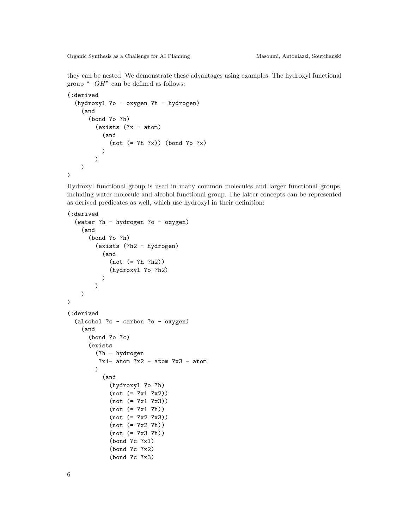they can be nested. We demonstrate these advantages using examples. The hydroxyl functional group "−OH" can be defined as follows:

```
(:derived
  (hydroxyl ?o - oxygen ?h - hydrogen)
    (and
      (bond ?o ?h)
        (exists (?x - atom)
          (and
             (not (= ?h ?x)) (bond ?o ?x)
          )
        )
    )
)
```
Hydroxyl functional group is used in many common molecules and larger functional groups, including water molecule and alcohol functional group. The latter concepts can be represented as derived predicates as well, which use hydroxyl in their definition:

```
(:derived
  (water ?h - hydrogen ?o - oxygen)
    (and
      (bond ?o ?h)
        (exists (?h2 - hydrogen)
          (and
             (not (= ?h ?h2))
             (hydroxyl ?o ?h2)
          )
        )
    )
)
(:derived
  (alcohol ?c - carbon ?o - oxygen)
    (and
      (bond ?o ?c)
      (exists
        (?h - hydrogen
         ?x1-atom ?x2 - atom ?x3 - atom\lambda(and
             (hydroxyl ?o ?h)
             (not (= ?x1 ?x2))
            (not (= ?x1 ?x3))(not (= ?x1 ?h))(not (= ?x2 ?x3))
             (not (= ?x2 ?h))(not (= ?x3 ?h))
             (bond ?c ?x1)
             (bond ?c ?x2)
             (bond ?c ?x3)
```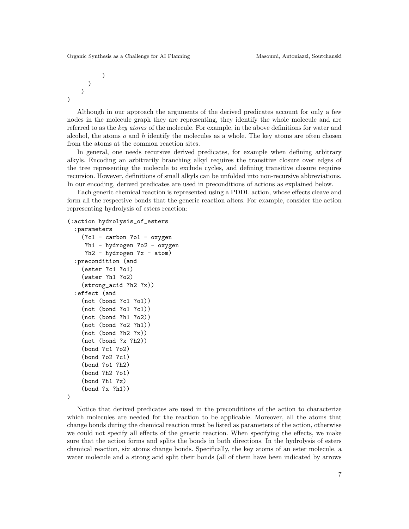```
)
)
```
)

)

Although in our approach the arguments of the derived predicates account for only a few nodes in the molecule graph they are representing, they identify the whole molecule and are referred to as the key atoms of the molecule. For example, in the above definitions for water and alcohol, the atoms  $o$  and  $h$  identify the molecules as a whole. The key atoms are often chosen from the atoms at the common reaction sites.

In general, one needs recursive derived predicates, for example when defining arbitrary alkyls. Encoding an arbitrarily branching alkyl requires the transitive closure over edges of the tree representing the molecule to exclude cycles, and defining transitive closure requires recursion. However, definitions of small alkyls can be unfolded into non-recursive abbreviations. In our encoding, derived predicates are used in preconditions of actions as explained below.

Each generic chemical reaction is represented using a PDDL action, whose effects cleave and form all the respective bonds that the generic reaction alters. For example, consider the action representing hydrolysis of esters reaction:

```
(:action hydrolysis_of_esters
```

```
:parameters
 (?c1 - carbon ?o1 - oxygen
  ?h1 - hydrogen ?o2 - oxygen
  ?h2 - hydrogen ?x - atom)
:precondition (and
  (ester ?c1 ?o1)
  (water ?h1 ?o2)
  (strong_acid ?h2 ?x))
:effect (and
  (not (bond ?c1 ?o1))
  (not (bond ?o1 ?c1))
  (not (bond ?h1 ?o2))
  (not (bond ?o2 ?h1))
  (not (bond ?h2 ?x))
  (not (bond ?x ?h2))
  (bond ?c1 ?o2)
  (bond ?o2 ?c1)
  (bond ?o1 ?h2)
  (bond ?h2 ?o1)
  (bond ?h1 ?x)
  (bond ?x ?h1))
```
)

Notice that derived predicates are used in the preconditions of the action to characterize which molecules are needed for the reaction to be applicable. Moreover, all the atoms that change bonds during the chemical reaction must be listed as parameters of the action, otherwise we could not specify all effects of the generic reaction. When specifying the effects, we make sure that the action forms and splits the bonds in both directions. In the hydrolysis of esters chemical reaction, six atoms change bonds. Specifically, the key atoms of an ester molecule, a water molecule and a strong acid split their bonds (all of them have been indicated by arrows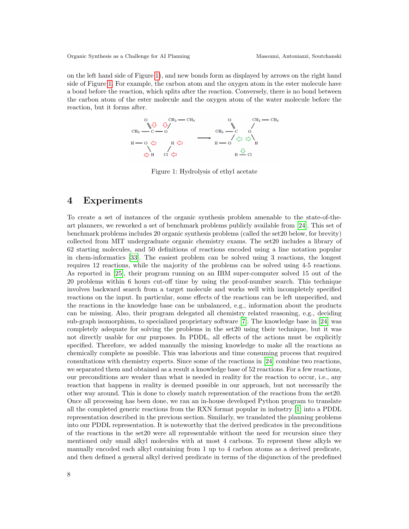<span id="page-7-0"></span>on the left hand side of Figure [1\)](#page-7-0), and new bonds form as displayed by arrows on the right hand side of Figure [1.](#page-7-0) For example, the carbon atom and the oxygen atom in the ester molecule have a bond before the reaction, which splits after the reaction. Conversely, there is no bond between the carbon atom of the ester molecule and the oxygen atom of the water molecule before the reaction, but it forms after.



Figure 1: Hydrolysis of ethyl acetate

#### 4 Experiments

To create a set of instances of the organic synthesis problem amenable to the state-of-theart planners, we reworked a set of benchmark problems publicly available from [\[24\]](#page-17-1). This set of benchmark problems includes 20 organic synthesis problems (called the set20 below, for brevity) collected from MIT undergraduate organic chemistry exams. The set20 includes a library of 62 starting molecules, and 50 definitions of reactions encoded using a line notation popular in chem-informatics [\[33\]](#page-17-7). The easiest problem can be solved using 3 reactions, the longest requires 12 reactions, while the majority of the problems can be solved using 4-5 reactions. As reported in [\[25\]](#page-17-0), their program running on an IBM super-computer solved 15 out of the 20 problems within 6 hours cut-off time by using the proof-number search. This technique involves backward search from a target molecule and works well with incompletely specified reactions on the input. In particular, some effects of the reactions can be left unspecified, and the reactions in the knowledge base can be unbalanced, e.g., information about the products can be missing. Also, their program delegated all chemistry related reasoning, e.g., deciding sub-graph isomorphism, to specialized proprietary software [\[7\]](#page-16-13). The knowledge base in [\[24\]](#page-17-1) was completely adequate for solving the problems in the set20 using their technique, but it was not directly usable for our purposes. In PDDL, all effects of the actions must be explicitly specified. Therefore, we added manually the missing knowledge to make all the reactions as chemically complete as possible. This was laborious and time consuming process that required consultations with chemistry experts. Since some of the reactions in [\[24\]](#page-17-1) combine two reactions, we separated them and obtained as a result a knowledge base of 52 reactions. For a few reactions, our preconditions are weaker than what is needed in reality for the reaction to occur, i.e., any reaction that happens in reality is deemed possible in our approach, but not necessarily the other way around. This is done to closely match representation of the reactions from the set20. Once all processing has been done, we ran an in-house developed Python program to translate all the completed generic reactions from the RXN format popular in industry [\[1\]](#page-16-14) into a PDDL representation described in the previous section. Similarly, we translated the planning problems into our PDDL representation. It is noteworthy that the derived predicates in the preconditions of the reactions in the set20 were all representable without the need for recursion since they mentioned only small alkyl molecules with at most 4 carbons. To represent these alkyls we manually encoded each alkyl containing from 1 up to 4 carbon atoms as a derived predicate, and then defined a general alkyl derived predicate in terms of the disjunction of the predefined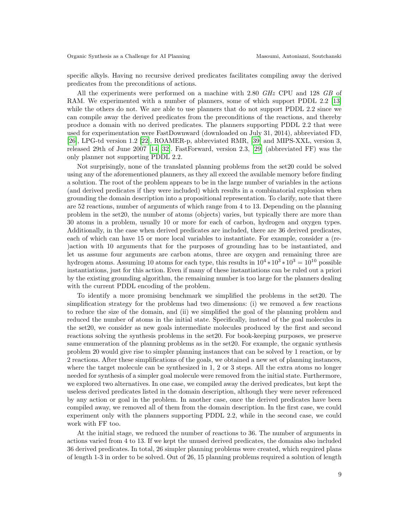specific alkyls. Having no recursive derived predicates facilitates compiling away the derived predicates from the preconditions of actions.

All the experiments were performed on a machine with 2.80 GHz CPU and 128 GB of RAM. We experimented with a number of planners, some of which support PDDL 2.2 [\[13\]](#page-16-4) while the others do not. We are able to use planners that do not support PDDL 2.2 since we can compile away the derived predicates from the preconditions of the reactions, and thereby produce a domain with no derived predicates. The planners supporting PDDL 2.2 that were used for experimentation were FastDownward (downloaded on July 31, 2014), abbreviated FD, [\[26\]](#page-17-8), LPG-td version 1.2 [\[22\]](#page-17-9), ROAMER-p, abbreviated RMR, [\[39\]](#page-17-10) and MIPS-XXL, version 3, released 29th of June 2007 [\[14;](#page-16-15) [32\]](#page-17-11). FastForward, version 2.3, [\[29\]](#page-17-12) (abbreviated FF) was the only planner not supporting PDDL 2.2.

Not surprisingly, none of the translated planning problems from the set20 could be solved using any of the aforementioned planners, as they all exceed the available memory before finding a solution. The root of the problem appears to be in the large number of variables in the actions (and derived predicates if they were included) which results in a combinatorial explosion when grounding the domain description into a propositional representation. To clarify, note that there are 52 reactions, number of arguments of which range from 4 to 13. Depending on the planning problem in the set20, the number of atoms (objects) varies, but typically there are more than 30 atoms in a problem, usually 10 or more for each of carbon, hydrogen and oxygen types. Additionally, in the case when derived predicates are included, there are 36 derived predicates, each of which can have 15 or more local variables to instantiate. For example, consider a (re- )action with 10 arguments that for the purposes of grounding has to be instantiated, and let us assume four arguments are carbon atoms, three are oxygen and remaining three are hydrogen atoms. Assuming 10 atoms for each type, this results in  $10^4 * 10^3 * 10^3 = 10^{10}$  possible instantiations, just for this action. Even if many of these instantiations can be ruled out a priori by the existing grounding algorithm, the remaining number is too large for the planners dealing with the current PDDL encoding of the problem.

To identify a more promising benchmark we simplified the problems in the set20. The simplification strategy for the problems had two dimensions: (i) we removed a few reactions to reduce the size of the domain, and (ii) we simplified the goal of the planning problem and reduced the number of atoms in the initial state. Specifically, instead of the goal molecules in the set20, we consider as new goals intermediate molecules produced by the first and second reactions solving the synthesis problems in the set20. For book-keeping purposes, we preserve same enumeration of the planning problems as in the set20. For example, the organic synthesis problem 20 would give rise to simpler planning instances that can be solved by 1 reaction, or by 2 reactions. After these simplifications of the goals, we obtained a new set of planning instances, where the target molecule can be synthesized in 1, 2 or 3 steps. All the extra atoms no longer needed for synthesis of a simpler goal molecule were removed from the initial state. Furthermore, we explored two alternatives. In one case, we compiled away the derived predicates, but kept the useless derived predicates listed in the domain description, although they were never referenced by any action or goal in the problem. In another case, once the derived predicates have been compiled away, we removed all of them from the domain description. In the first case, we could experiment only with the planners supporting PDDL 2.2, while in the second case, we could work with FF too.

At the initial stage, we reduced the number of reactions to 36. The number of arguments in actions varied from 4 to 13. If we kept the unused derived predicates, the domains also included 36 derived predicates. In total, 26 simpler planning problems were created, which required plans of length 1-3 in order to be solved. Out of 26, 15 planning problems required a solution of length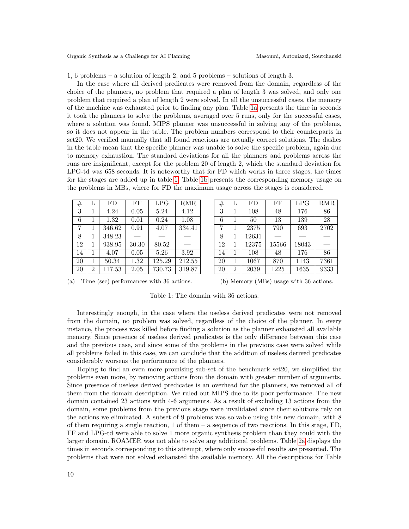1, 6 problems – a solution of length 2, and 5 problems – solutions of length 3.

In the case where all derived predicates were removed from the domain, regardless of the choice of the planners, no problem that required a plan of length 3 was solved, and only one problem that required a plan of length 2 were solved. In all the unsuccessful cases, the memory of the machine was exhausted prior to finding any plan. Table [1a](#page-9-0) presents the time in seconds it took the planners to solve the problems, averaged over 5 runs, only for the successful cases, where a solution was found. MIPS planner was unsuccessful in solving any of the problems, so it does not appear in the table. The problem numbers correspond to their counterparts in set20. We verified manually that all found reactions are actually correct solutions. The dashes in the table mean that the specific planner was unable to solve the specific problem, again due to memory exhaustion. The standard deviations for all the planners and problems across the runs are insignificant, except for the problem 20 of length 2, which the standard deviation for LPG-td was 658 seconds. It is noteworthy that for FD which works in three stages, the times for the stages are added up in table [1.](#page-9-0) Table [1b](#page-9-0) presents the corresponding memory usage on the problems in MBs, where for FD the maximum usage across the stages is considered.

<span id="page-9-0"></span>

| #  | L              | FD     | FF    | LPG    | <b>RMR</b> |
|----|----------------|--------|-------|--------|------------|
| 3  | 1              | 4.24   | 0.05  | 5.24   | 4.12       |
| 6  | 1              | 1.32   | 0.01  | 0.24   | 1.08       |
| 7  | 1              | 346.62 | 0.91  | 4.07   | 334.41     |
| 8  | 1              | 348.23 |       |        |            |
| 12 | $\mathbf{1}$   | 938.95 | 30.30 | 80.52  |            |
| 14 | 1              | 4.07   | 0.05  | 5.26   | 3.92       |
| 20 | 1              | 50.34  | 1.32  | 125.29 | 212.55     |
| 20 | $\mathfrak{D}$ | 117.53 | 2.05  | 730.73 | 319.87     |

| #  | L              | FD    | FF    | LPG   | <b>RMR</b> |
|----|----------------|-------|-------|-------|------------|
| 3  | 1              | 108   | 48    | 176   | 86         |
| 6  | 1              | 50    | 13    | 139   | 28         |
| 7  | 1              | 2375  | 790   | 693   | 2702       |
| 8  | 1              | 12631 |       |       |            |
| 12 | 1              | 12375 | 15566 | 18043 |            |
| 14 | 1              | 108   | 48    | 176   | 86         |
| 20 | 1              | 1067  | 870   | 1143  | 7361       |
| 20 | $\overline{2}$ | 2039  | 1225  | 1635  | 9333       |

(a) Time (sec) performances with 36 actions.

(b) Memory (MBs) usage with 36 actions.

Table 1: The domain with 36 actions.

Interestingly enough, in the case where the useless derived predicates were not removed from the domain, no problem was solved, regardless of the choice of the planner. In every instance, the process was killed before finding a solution as the planner exhausted all available memory. Since presence of useless derived predicates is the only difference between this case and the previous case, and since some of the problems in the previous case were solved while all problems failed in this case, we can conclude that the addition of useless derived predicates considerably worsens the performance of the planners.

Hoping to find an even more promising sub-set of the benchmark set20, we simplified the problems even more, by removing actions from the domain with greater number of arguments. Since presence of useless derived predicates is an overhead for the planners, we removed all of them from the domain description. We ruled out MIPS due to its poor performance. The new domain contained 23 actions with 4-6 arguments. As a result of excluding 13 actions from the domain, some problems from the previous stage were invalidated since their solutions rely on the actions we eliminated. A subset of 9 problems was solvable using this new domain, with 8 of them requiring a single reaction, 1 of them – a sequence of two reactions. In this stage,  $FD$ , FF and LPG-td were able to solve 1 more organic synthesis problem than they could with the larger domain. ROAMER was not able to solve any additional problems. Table [2a](#page-10-0) displays the times in seconds corresponding to this attempt, where only successful results are presented. The problems that were not solved exhausted the available memory. All the descriptions for Table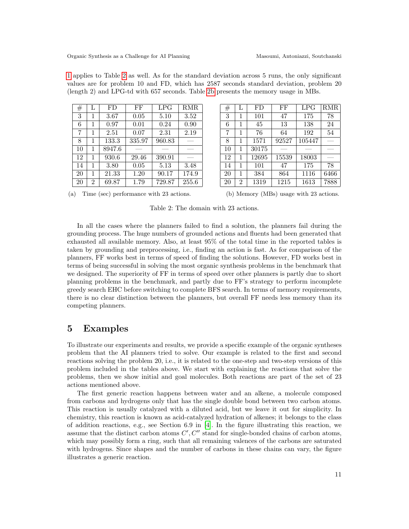|  |  |  |  |  |  |                                                                                    |  |  | 1 applies to Table 2 as well. As for the standard deviation across 5 runs, the only significant |  |
|--|--|--|--|--|--|------------------------------------------------------------------------------------|--|--|-------------------------------------------------------------------------------------------------|--|
|  |  |  |  |  |  |                                                                                    |  |  | values are for problem 10 and FD, which has 2587 seconds standard deviation, problem 20         |  |
|  |  |  |  |  |  | (length 2) and LPG-td with 657 seconds. Table 2b presents the memory usage in MBs. |  |  |                                                                                                 |  |

<span id="page-10-0"></span>

| #  | L | FD     | FF     | LPG    | <b>RMR</b> |
|----|---|--------|--------|--------|------------|
| 3  | 1 | 3.67   | 0.05   | 5.10   | 3.52       |
| 6  | 1 | 0.97   | 0.01   | 0.24   | 0.90       |
| 7  | 1 | 2.51   | 0.07   | 2.31   | 2.19       |
| 8  | 1 | 133.3  | 335.97 | 960.83 |            |
| 10 | 1 | 8947.6 |        |        |            |
| 12 | 1 | 930.6  | 29.46  | 390.91 |            |
| 14 | 1 | 3.80   | 0.05   | 5.13   | 3.48       |
| 20 | 1 | 21.33  | 1.20   | 90.17  | 174.9      |
| 20 | 2 | 69.87  | 1.79   | 729.87 | 255.6      |

| #  | L | FD    | FF    | LPG    | <b>RMR</b> |
|----|---|-------|-------|--------|------------|
| 3  | 1 | 101   | 47    | 175    | 78         |
| 6  | 1 | 45    | 13    | 138    | 24         |
| 7  | 1 | 76    | 64    | 192    | 54         |
| 8  | 1 | 1571  | 92527 | 105447 |            |
| 10 | 1 | 30175 |       |        |            |
| 12 | 1 | 12695 | 15539 | 18003  |            |
| 14 | 1 | 101   | 47    | 175    | 78         |
| 20 | 1 | 384   | 864   | 1116   | 6466       |
| 20 | 2 | 1319  | 1215  | 1613   | 7888       |

(a) Time (sec) performance with 23 actions.

(b) Memory (MBs) usage with 23 actions.

Table 2: The domain with 23 actions.

In all the cases where the planners failed to find a solution, the planners fail during the grounding process. The huge numbers of grounded actions and fluents had been generated that exhausted all available memory. Also, at least 95% of the total time in the reported tables is taken by grounding and preprocessing, i.e., finding an action is fast. As for comparison of the planners, FF works best in terms of speed of finding the solutions. However, FD works best in terms of being successful in solving the most organic synthesis problems in the benchmark that we designed. The superiority of FF in terms of speed over other planners is partly due to short planning problems in the benchmark, and partly due to FF's strategy to perform incomplete greedy search EHC before switching to complete BFS search. In terms of memory requirements, there is no clear distinction between the planners, but overall FF needs less memory than its competing planners.

# 5 Examples

To illustrate our experiments and results, we provide a specific example of the organic syntheses problem that the AI planners tried to solve. Our example is related to the first and second reactions solving the problem 20, i.e., it is related to the one-step and two-step versions of this problem included in the tables above. We start with explaining the reactions that solve the problems, then we show initial and goal molecules. Both reactions are part of the set of 23 actions mentioned above.

The first generic reaction happens between water and an alkene, a molecule composed from carbons and hydrogens only that has the single double bond between two carbon atoms. This reaction is usually catalyzed with a diluted acid, but we leave it out for simplicity. In chemistry, this reaction is known as acid-catalyzed hydration of alkenes; it belongs to the class of addition reactions, e.g., see Section 6.9 in [\[4\]](#page-16-16). In the figure illustrating this reaction, we assume that the distinct carbon atoms  $C', C''$  stand for single-bonded chains of carbon atoms, which may possibly form a ring, such that all remaining valences of the carbons are saturated with hydrogens. Since shapes and the number of carbons in these chains can vary, the figure illustrates a generic reaction.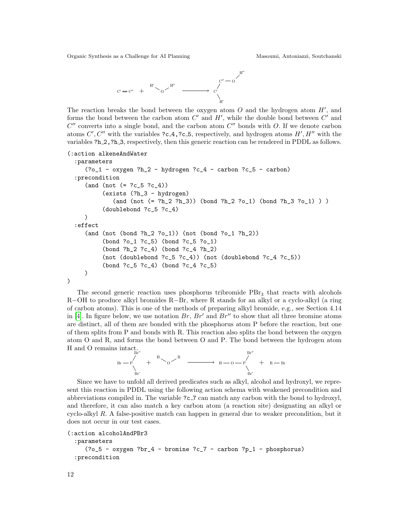

The reaction breaks the bond between the oxygen atom  $O$  and the hydrogen atom  $H'$ , and forms the bond between the carbon atom  $C'$  and  $H'$ , while the double bond between  $C'$  and  $C''$  converts into a single bond, and the carbon atom  $C''$  bonds with O. If we denote carbon atoms  $C', C''$  with the variables ?c.4,?c.5, respectively, and hydrogen atoms  $H', H''$  with the variables ?h\_2, ?h\_3, respectively, then this generic reaction can be rendered in PDDL as follows.

```
(:action alkeneAndWater
  :parameters
     (?o_1 - oxygen ?h_2 - hydrogen ?c_4 - carbon ?c_5 - carbon)
  :precondition
     (and (not (= ?c_5 ?c_4))(exists (?h_3 - hydrogen)
             (and (not (= ?h_2 ?h_3)) (bond ?h_2 ?o_1) (bond ?h_3 ?o_1) ) )
          (doublebond ?c_5 ?c_4)
     )
  :effect
     (and (not (bond ?h_2 ?o_1)) (not (bond ?o_1 ?h_2))
          (bond ?o_1 ?c_5) (bond ?c_5 ?o_1)
          (bond ?h_2 ?c_4) (bond ?c_4 ?h_2)
          (not (doublebond ?c_5 ?c_4)) (not (doublebond ?c_4 ?c_5))
          (bond ?c_5 ?c_4) (bond ?c_4 ?c_5)
     )
)
```
The second generic reaction uses phosphorus tribromide  $\text{PBr}_3$  that reacts with alcohols R−OH to produce alkyl bromides R−Br, where R stands for an alkyl or a cyclo-alkyl (a ring of carbon atoms). This is one of the methods of preparing alkyl bromide, e.g., see Section 4.14 in [\[4\]](#page-16-16). In figure below, we use notation  $Br, Br'$  and  $Br''$  to show that all three bromine atoms are distinct, all of them are bonded with the phosphorus atom P before the reaction, but one of them splits from P and bonds with R. This reaction also splits the bond between the oxygen atom O and R, and forms the bond between O and P. The bond between the hydrogen atom H and O remains intact.



Since we have to unfold all derived predicates such as alkyl, alcohol and hydroxyl, we represent this reaction in PDDL using the following action schema with weakened precondition and abbreviations compiled in. The variable ?c 7 can match any carbon with the bond to hydroxyl, and therefore, it can also match a key carbon atom (a reaction site) designating an alkyl or cyclo-alkyl  $R$ . A false-positive match can happen in general due to weaker precondition, but it does not occur in our test cases.

```
(:action alcoholAndPBr3
```

```
:parameters
  (?o_5 - oxygen ?br_4 - bromine ?c_7 - carbon ?p_1 - phosphorus)
:precondition
```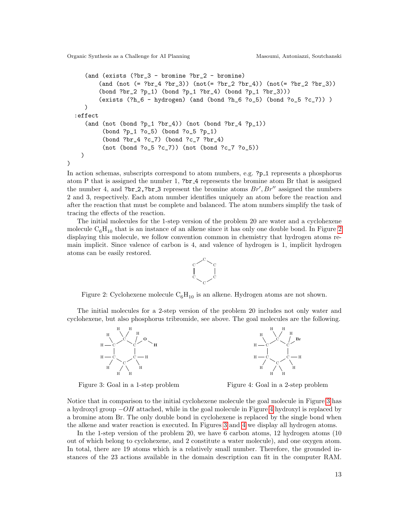)

```
(and (exists (?br_3 - bromine ?br_2 - bromine)
       (and (not (= ?br_4 ?br_3)) (not(= ?br_2 ?br_4)) (not(= ?br_2 ?br_3))
       (bond ?br_2 ?p_1) (bond ?p_1 ?br_4) (bond ?p_1 ?br_3)))
       (exists (?h_6 - hydrogen) (and (bond ?h_6 ?o_5) (bond ?o_5 ?c_7)) )
  )
:effect
  (and (not (bond ?p_1 ?br_4)) (not (bond ?br_4 ?p_1))
        (bond ?p_1 ?o_5) (bond ?o_5 ?p_1)
        (bond ?br_4 ?c_7) (bond ?c_7 ?br_4)
        (not (bond ?o_5 ?c_7)) (not (bond ?c_7 ?o_5))
 )
```
In action schemas, subscripts correspond to atom numbers, e.g. ?p\_1 represents a phosphorus atom P that is assigned the number 1, ?br 4 represents the bromine atom Br that is assigned the number 4, and ?br 2,?br 3 represent the bromine atoms  $Br', Br''$  assigned the numbers 2 and 3, respectively. Each atom number identifies uniquely an atom before the reaction and after the reaction that must be complete and balanced. The atom numbers simplify the task of tracing the effects of the reaction.

The initial molecules for the 1-step version of the problem 20 are water and a cyclohexene molecule  $C_6H_{10}$  that is an instance of an alkene since it has only one double bond. In Figure [2](#page-12-0) displaying this molecule, we follow convention common in chemistry that hydrogen atoms remain implicit. Since valence of carbon is 4, and valence of hydrogen is 1, implicit hydrogen atoms can be easily restored.

<span id="page-12-0"></span>

Figure 2: Cyclohexene molecule  $C_6H_{10}$  is an alkene. Hydrogen atoms are not shown.

<span id="page-12-1"></span>The initial molecules for a 2-step version of the problem 20 includes not only water and cyclohexene, but also phosphorus tribromide, see above. The goal molecules are the following.



Figure 3: Goal in a 1-step problem



Figure 4: Goal in a 2-step problem

Notice that in comparison to the initial cyclohexene molecule the goal molecule in Figure [3](#page-12-1) has a hydroxyl group  $-OH$  attached, while in the goal molecule in Figure [4](#page-12-1) hydroxyl is replaced by a bromine atom Br. The only double bond in cyclohexene is replaced by the single bond when the alkene and water reaction is executed. In Figures [3](#page-12-1) and [4](#page-12-1) we display all hydrogen atoms.

In the 1-step version of the problem 20, we have 6 carbon atoms, 12 hydrogen atoms (10 out of which belong to cyclohexene, and 2 constitute a water molecule), and one oxygen atom. In total, there are 19 atoms which is a relatively small number. Therefore, the grounded instances of the 23 actions available in the domain description can fit in the computer RAM.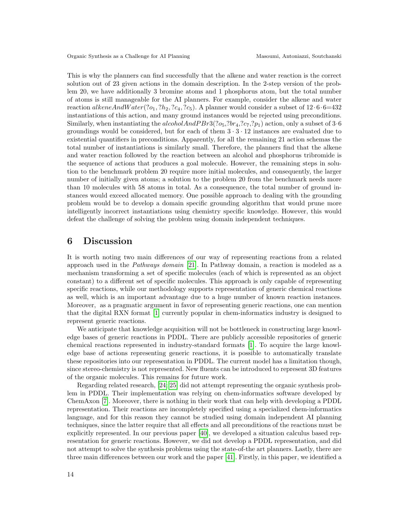This is why the planners can find successfully that the alkene and water reaction is the correct solution out of 23 given actions in the domain description. In the 2-step version of the problem 20, we have additionally 3 bromine atoms and 1 phosphorus atom, but the total number of atoms is still manageable for the AI planners. For example, consider the alkene and water reaction alkeneAndW ater $(2o_1, 2h_2, 2c_4, 2c_5)$ . A planner would consider a subset of 12 · 6 · 6=432 instantiations of this action, and many ground instances would be rejected using preconditions. Similarly, when instantiating the *alcoholAndPBr3* $(2o_5, 2b_4, 2c_7, 2p_1)$  action, only a subset of 3·6 groundings would be considered, but for each of them  $3 \cdot 3 \cdot 12$  instances are evaluated due to existential quantifiers in preconditions. Apparently, for all the remaining 21 action schemas the total number of instantiations is similarly small. Therefore, the planners find that the alkene and water reaction followed by the reaction between an alcohol and phosphorus tribromide is the sequence of actions that produces a goal molecule. However, the remaining steps in solution to the benchmark problem 20 require more initial molecules, and consequently, the larger number of initially given atoms; a solution to the problem 20 from the benchmark needs more than 10 molecules with 58 atoms in total. As a consequence, the total number of ground instances would exceed allocated memory. One possible approach to dealing with the grounding problem would be to develop a domain specific grounding algorithm that would prune more intelligently incorrect instantiations using chemistry specific knowledge. However, this would defeat the challenge of solving the problem using domain independent techniques.

#### 6 Discussion

It is worth noting two main differences of our way of representing reactions from a related approach used in the Pathways domain  $[21]$ . In Pathway domain, a reaction is modeled as a mechanism transforming a set of specific molecules (each of which is represented as an object constant) to a different set of specific molecules. This approach is only capable of representing specific reactions, while our methodology supports representation of generic chemical reactions as well, which is an important advantage due to a huge number of known reaction instances. Moreover, as a pragmatic argument in favor of representing generic reactions, one can mention that the digital RXN format [\[1\]](#page-16-14) currently popular in chem-informatics industry is designed to represent generic reactions.

We anticipate that knowledge acquisition will not be bottleneck in constructing large knowledge bases of generic reactions in PDDL. There are publicly accessible repositories of generic chemical reactions represented in industry-standard formats [\[1\]](#page-16-14). To acquire the large knowledge base of actions representing generic reactions, it is possible to automatically translate these repositories into our representation in PDDL. The current model has a limitation though, since stereo-chemistry is not represented. New fluents can be introduced to represent 3D features of the organic molecules. This remains for future work.

Regarding related research, [\[24;](#page-17-1) [25\]](#page-17-0) did not attempt representing the organic synthesis problem in PDDL. Their implementation was relying on chem-informatics software developed by ChemAxon [\[7\]](#page-16-13). Moreover, there is nothing in their work that can help with developing a PDDL representation. Their reactions are incompletely specified using a specialized chem-informatics language, and for this reason they cannot be studied using domain independent AI planning techniques, since the latter require that all effects and all preconditions of the reactions must be explicitly represented. In our previous paper [\[40\]](#page-17-13), we developed a situation calculus based representation for generic reactions. However, we did not develop a PDDL representation, and did not attempt to solve the synthesis problems using the state-of-the art planners. Lastly, there are three main differences between our work and the paper [\[41\]](#page-17-14). Firstly, in this paper, we identified a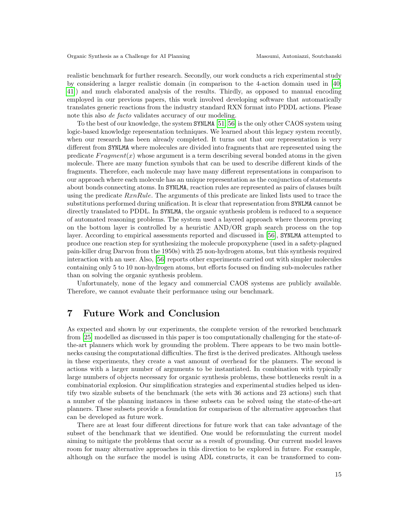realistic benchmark for further research. Secondly, our work conducts a rich experimental study by considering a larger realistic domain (in comparison to the 4-action domain used in [\[40;](#page-17-13) [41\]](#page-17-14)) and much elaborated analysis of the results. Thirdly, as opposed to manual encoding employed in our previous papers, this work involved developing software that automatically translates generic reactions from the industry standard RXN format into PDDL actions. Please note this also de facto validates accuracy of our modeling.

To the best of our knowledge, the system SYNLMA [\[51;](#page-18-7) [56\]](#page-18-8) is the only other CAOS system using logic-based knowledge representation techniques. We learned about this legacy system recently, when our research has been already completed. It turns out that our representation is very different from SYNLMA where molecules are divided into fragments that are represented using the predicate  $Fragment(x)$  whose argument is a term describing several bonded atoms in the given molecule. There are many function symbols that can be used to describe different kinds of the fragments. Therefore, each molecule may have many different representations in comparison to our approach where each molecule has an unique representation as the conjunction of statements about bonds connecting atoms. In SYNLMA, reaction rules are represented as pairs of clauses built using the predicate  $RxnRule$ . The arguments of this predicate are linked lists used to trace the substitutions performed during unification. It is clear that representation from SYNLMA cannot be directly translated to PDDL. In SYNLMA, the organic synthesis problem is reduced to a sequence of automated reasoning problems. The system used a layered approach where theorem proving on the bottom layer is controlled by a heuristic AND/OR graph search process on the top layer. According to empirical assessments reported and discussed in [\[56\]](#page-18-8), SYNLMA attempted to produce one reaction step for synthesizing the molecule propoxyphene (used in a safety-plagued pain-killer drug Darvon from the 1950s) with 25 non-hydrogen atoms, but this synthesis required interaction with an user. Also, [\[56\]](#page-18-8) reports other experiments carried out with simpler molecules containing only 5 to 10 non-hydrogen atoms, but efforts focused on finding sub-molecules rather than on solving the organic synthesis problem.

Unfortunately, none of the legacy and commercial CAOS systems are publicly available. Therefore, we cannot evaluate their performance using our benchmark.

# 7 Future Work and Conclusion

As expected and shown by our experiments, the complete version of the reworked benchmark from [\[25\]](#page-17-0) modelled as discussed in this paper is too computationally challenging for the state-ofthe-art planners which work by grounding the problem. There appears to be two main bottlenecks causing the computational difficulties. The first is the derived predicates. Although useless in these experiments, they create a vast amount of overhead for the planners. The second is actions with a larger number of arguments to be instantiated. In combination with typically large numbers of objects necessary for organic synthesis problems, these bottlenecks result in a combinatorial explosion. Our simplification strategies and experimental studies helped us identify two sizable subsets of the benchmark (the sets with 36 actions and 23 actions) such that a number of the planning instances in these subsets can be solved using the state-of-the-art planners. These subsets provide a foundation for comparison of the alternative approaches that can be developed as future work.

There are at least four different directions for future work that can take advantage of the subset of the benchmark that we identified. One would be reformulating the current model aiming to mitigate the problems that occur as a result of grounding. Our current model leaves room for many alternative approaches in this direction to be explored in future. For example, although on the surface the model is using ADL constructs, it can be transformed to com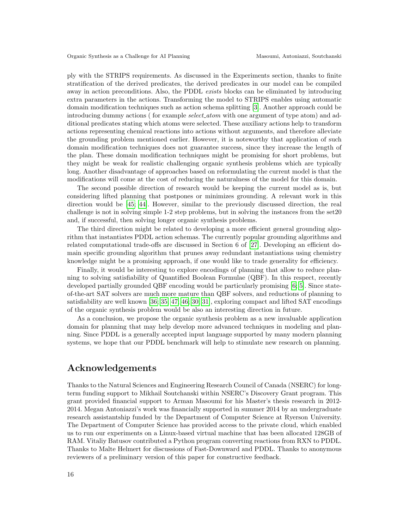ply with the STRIPS requirements. As discussed in the Experiments section, thanks to finite stratification of the derived predicates, the derived predicates in our model can be compiled away in action preconditions. Also, the PDDL exists blocks can be eliminated by introducing extra parameters in the actions. Transforming the model to STRIPS enables using automatic domain modification techniques such as action schema splitting [\[3\]](#page-16-18). Another approach could be introducing dummy actions ( for example *select\_atom* with one argument of type atom) and additional predicates stating which atoms were selected. These auxiliary actions help to transform actions representing chemical reactions into actions without arguments, and therefore alleviate the grounding problem mentioned earlier. However, it is noteworthy that application of such domain modification techniques does not guarantee success, since they increase the length of the plan. These domain modification techniques might be promising for short problems, but they might be weak for realistic challenging organic synthesis problems which are typically long. Another disadvantage of approaches based on reformulating the current model is that the modifications will come at the cost of reducing the naturalness of the model for this domain.

The second possible direction of research would be keeping the current model as is, but considering lifted planning that postpones or minimizes grounding. A relevant work in this direction would be [\[45;](#page-18-13) [44\]](#page-18-14). However, similar to the previously discussed direction, the real challenge is not in solving simple 1-2 step problems, but in solving the instances from the set20 and, if successful, then solving longer organic synthesis problems.

The third direction might be related to developing a more efficient general grounding algorithm that instantiates PDDL action schemas. The currently popular grounding algorithms and related computational trade-offs are discussed in Section 6 of [\[27\]](#page-17-15). Developing an efficient domain specific grounding algorithm that prunes away redundant instantiations using chemistry knowledge might be a promising approach, if one would like to trade generality for efficiency.

Finally, it would be interesting to explore encodings of planning that allow to reduce planning to solving satisfiability of Quantified Boolean Formulae (QBF). In this respect, recently developed partially grounded QBF encoding would be particularly promising [\[6;](#page-16-19) [5\]](#page-16-20). Since stateof-the-art SAT solvers are much more mature than QBF solvers, and reductions of planning to satisfiability are well known [\[36;](#page-17-16) [35;](#page-17-17) [47;](#page-18-15) [46;](#page-18-16) [30;](#page-17-18) [31\]](#page-17-19), exploring compact and lifted SAT encodings of the organic synthesis problem would be also an interesting direction in future.

As a conclusion, we propose the organic synthesis problem as a new invaluable application domain for planning that may help develop more advanced techniques in modeling and planning. Since PDDL is a generally accepted input language supported by many modern planning systems, we hope that our PDDL benchmark will help to stimulate new research on planning.

#### Acknowledgements

Thanks to the Natural Sciences and Engineering Research Council of Canada (NSERC) for longterm funding support to Mikhail Soutchanski within NSERC's Discovery Grant program. This grant provided financial support to Arman Masoumi for his Master's thesis research in 2012- 2014. Megan Antoniazzi's work was financially supported in summer 2014 by an undergraduate research assistantship funded by the Department of Computer Science at Ryerson University. The Department of Computer Science has provided access to the private cloud, which enabled us to run our experiments on a Linux-based virtual machine that has been allocated 128GB of RAM. Vitaliy Batusov contributed a Python program converting reactions from RXN to PDDL. Thanks to Malte Helmert for discussions of Fast-Downward and PDDL. Thanks to anonymous reviewers of a preliminary version of this paper for constructive feedback.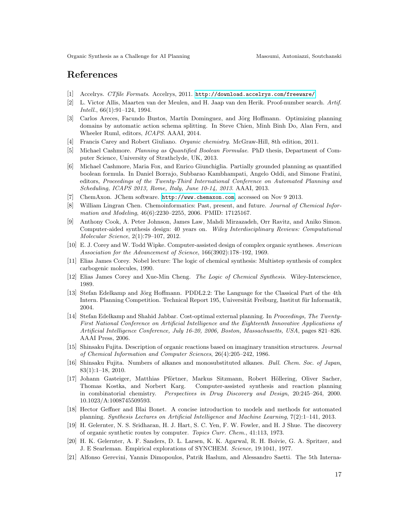### References

- <span id="page-16-14"></span>[1] Accelrys. CTfile Formats. Accelrys, 2011. <http://download.accelrys.com/freeware/>.
- <span id="page-16-5"></span>[2] L. Victor Allis, Maarten van der Meulen, and H. Jaap van den Herik. Proof-number search. Artif. Intell., 66(1):91–124, 1994.
- <span id="page-16-18"></span>[3] Carlos Areces, Facundo Bustos, Martín Dominguez, and Jörg Hoffmann. Optimizing planning domains by automatic action schema splitting. In Steve Chien, Minh Binh Do, Alan Fern, and Wheeler Ruml, editors, ICAPS. AAAI, 2014.
- <span id="page-16-16"></span>[4] Francis Carey and Robert Giuliano. Organic chemistry. McGraw-Hill, 8th edition, 2011.
- <span id="page-16-20"></span>[5] Michael Cashmore. Planning as Quantified Boolean Formulae. PhD thesis, Department of Computer Science, University of Strathclyde, UK, 2013.
- <span id="page-16-19"></span>[6] Michael Cashmore, Maria Fox, and Enrico Giunchiglia. Partially grounded planning as quantified boolean formula. In Daniel Borrajo, Subbarao Kambhampati, Angelo Oddi, and Simone Fratini, editors, Proceedings of the Twenty-Third International Conference on Automated Planning and Scheduling, ICAPS 2013, Rome, Italy, June 10-14, 2013. AAAI, 2013.
- <span id="page-16-13"></span>[7] ChemAxon. JChem software. <http://www.chemaxon.com>, accessed on Nov 9 2013.
- <span id="page-16-2"></span>[8] William Lingran Chen. Chemoinformatics: Past, present, and future. Journal of Chemical Information and Modeling, 46(6):2230–2255, 2006. PMID: 17125167.
- <span id="page-16-3"></span>[9] Anthony Cook, A. Peter Johnson, James Law, Mahdi Mirzazadeh, Orr Ravitz, and Aniko Simon. Computer-aided synthesis design: 40 years on. Wiley Interdisciplinary Reviews: Computational Molecular Science, 2(1):79–107, 2012.
- <span id="page-16-6"></span>[10] E. J. Corey and W. Todd Wipke. Computer-assisted design of complex organic syntheses. American Association for the Advancement of Science, 166(3902):178–192, 1969.
- <span id="page-16-0"></span>[11] Elias James Corey. Nobel lecture: The logic of chemical synthesis: Multistep synthesis of complex carbogenic molecules, 1990.
- <span id="page-16-1"></span>[12] Elias James Corey and Xue-Min Cheng. The Logic of Chemical Synthesis. Wiley-Interscience, 1989.
- <span id="page-16-4"></span>[13] Stefan Edelkamp and Jörg Hoffmann. PDDL2.2: The Language for the Classical Part of the 4th Intern. Planning Competition. Technical Report 195, Universität Freiburg, Institut für Informatik, 2004.
- <span id="page-16-15"></span>[14] Stefan Edelkamp and Shahid Jabbar. Cost-optimal external planning. In Proceedings, The Twenty-First National Conference on Artificial Intelligence and the Eighteenth Innovative Applications of Artificial Intelligence Conference, July 16-20, 2006, Boston, Massachusetts, USA, pages 821–826. AAAI Press, 2006.
- <span id="page-16-11"></span>[15] Shinsaku Fujita. Description of organic reactions based on imaginary transition structures. Journal of Chemical Information and Computer Sciences, 26(4):205–242, 1986.
- <span id="page-16-10"></span>[16] Shinsaku Fujita. Numbers of alkanes and monosubstituted alkanes. Bull. Chem. Soc. of Japan, 83(1):1–18, 2010.
- <span id="page-16-7"></span>[17] Johann Gasteiger, Matthias Pförtner, Markus Sitzmann, Robert Höllering, Oliver Sacher, Thomas Kostka, and Norbert Karg. Computer-assisted synthesis and reaction planning in combinatorial chemistry. Perspectives in Drug Discovery and Design, 20:245–264, 2000. 10.1023/A:1008745509593.
- <span id="page-16-12"></span>[18] Hector Geffner and Blai Bonet. A concise introduction to models and methods for automated planning. Synthesis Lectures on Artificial Intelligence and Machine Learning, 7(2):1–141, 2013.
- <span id="page-16-8"></span>[19] H. Gelernter, N. S. Sridharan, H. J. Hart, S. C. Yen, F. W. Fowler, and H. J Shue. The discovery of organic synthetic routes by computer. Topics Curr. Chem., 41:113, 1973.
- <span id="page-16-9"></span>[20] H. K. Gelernter, A. F. Sanders, D. L. Larsen, K. K. Agarwal, R. H. Boivie, G. A. Spritzer, and J. E Searleman. Empirical explorations of SYNCHEM. Science, 19:1041, 1977.
- <span id="page-16-17"></span>[21] Alfonso Gerevini, Yannis Dimopoulos, Patrik Haslum, and Alessandro Saetti. The 5th Interna-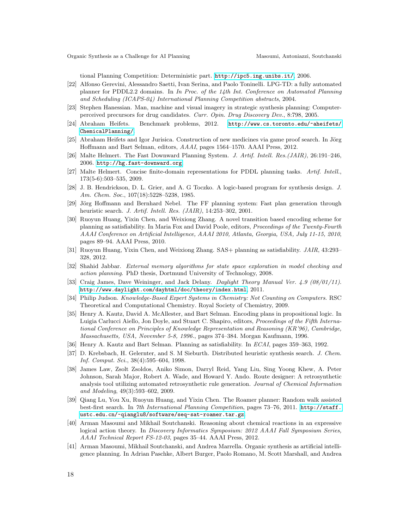tional Planning Competition: Deterministic part. <http://ipc5.ing.unibs.it/>, 2006.

- <span id="page-17-9"></span>[22] Alfonso Gerevini, Alessandro Saetti, Ivan Serina, and Paolo Toninelli. LPG-TD: a fully automated planner for PDDL2.2 domains. In In Proc. of the 14th Int. Conference on Automated Planning and Scheduling (ICAPS-04) International Planning Competition abstracts, 2004.
- <span id="page-17-3"></span>[23] Stephen Hanessian. Man, machine and visual imagery in strategic synthesis planning: Computerperceived precursors for drug candidates. Curr. Opin. Drug Discovery Dev., 8:798, 2005.
- <span id="page-17-1"></span>[24] Abraham Heifets. Benchmark problems, 2012. [http://www.cs.toronto.edu/~aheifets/](http://www.cs.toronto.edu/~aheifets/ChemicalPlanning/) [ChemicalPlanning/](http://www.cs.toronto.edu/~aheifets/ChemicalPlanning/).
- <span id="page-17-0"></span>[25] Abraham Heifets and Igor Jurisica. Construction of new medicines via game proof search. In Jörg Hoffmann and Bart Selman, editors, AAAI, pages 1564–1570. AAAI Press, 2012.
- <span id="page-17-8"></span>[26] Malte Helmert. The Fast Downward Planning System. J. Artif. Intell. Res.(JAIR), 26:191–246, 2006. <http://hg.fast-downward.org>.
- <span id="page-17-15"></span>[27] Malte Helmert. Concise finite-domain representations for PDDL planning tasks. Artif. Intell., 173(5-6):503–535, 2009.
- <span id="page-17-2"></span>[28] J. B. Hendrickson, D. L. Grier, and A. G Toczko. A logic-based program for synthesis design. J. Am. Chem. Soc., 107(18):5228–5238, 1985.
- <span id="page-17-12"></span>[29] Jörg Hoffmann and Bernhard Nebel. The FF planning system: Fast plan generation through heuristic search. J. Artif. Intell. Res. (JAIR), 14:253–302, 2001.
- <span id="page-17-18"></span>[30] Ruoyun Huang, Yixin Chen, and Weixiong Zhang. A novel transition based encoding scheme for planning as satisfiability. In Maria Fox and David Poole, editors, Proceedings of the Twenty-Fourth AAAI Conference on Artificial Intelligence, AAAI 2010, Atlanta, Georgia, USA, July 11-15, 2010, pages 89–94. AAAI Press, 2010.
- <span id="page-17-19"></span>[31] Ruoyun Huang, Yixin Chen, and Weixiong Zhang. SAS+ planning as satisfiability. JAIR, 43:293– 328, 2012.
- <span id="page-17-11"></span>[32] Shahid Jabbar. External memory algorithms for state space exploration in model checking and action planning. PhD thesis, Dortmund University of Technology, 2008.
- <span id="page-17-7"></span>[33] Craig James, Dave Weininger, and Jack Delany. Daylight Theory Manual Ver. 4.9 (08/01/11). <http://www.daylight.com/dayhtml/doc/theory/index.html>, 2011.
- <span id="page-17-6"></span>[34] Philip Judson. Knowledge-Based Expert Systems in Chemistry: Not Counting on Computers. RSC Theoretical and Computational Chemistry. Royal Society of Chemistry, 2009.
- <span id="page-17-17"></span>[35] Henry A. Kautz, David A. McAllester, and Bart Selman. Encoding plans in propositional logic. In Luigia Carlucci Aiello, Jon Doyle, and Stuart C. Shapiro, editors, *Proceedings of the Fifth Interna*tional Conference on Principles of Knowledge Representation and Reasoning (KR'96), Cambridge, Massachusetts, USA, November 5-8, 1996., pages 374–384. Morgan Kaufmann, 1996.
- <span id="page-17-16"></span>[36] Henry A. Kautz and Bart Selman. Planning as satisfiability. In ECAI, pages 359–363, 1992.
- <span id="page-17-4"></span>[37] D. Krebsbach, H. Gelernter, and S. M Sieburth. Distributed heuristic synthesis search. J. Chem. Inf. Comput. Sci., 38(4):595–604, 1998.
- <span id="page-17-5"></span>[38] James Law, Zsolt Zsoldos, Aniko Simon, Darryl Reid, Yang Liu, Sing Yoong Khew, A. Peter Johnson, Sarah Major, Robert A. Wade, and Howard Y. Ando. Route designer: A retrosynthetic analysis tool utilizing automated retrosynthetic rule generation. Journal of Chemical Information and Modeling, 49(3):593–602, 2009.
- <span id="page-17-10"></span>[39] Qiang Lu, You Xu, Ruoyun Huang, and Yixin Chen. The Roamer planner: Random walk assisted best-first search. In 7th International Planning Competition, pages 73-76, 2011. [http://staff.](http://staff.ustc.edu.cn/~qianglu8/software/seq-sat-roamer.tar.gz) [ustc.edu.cn/~qianglu8/software/seq-sat-roamer.tar.gz](http://staff.ustc.edu.cn/~qianglu8/software/seq-sat-roamer.tar.gz).
- <span id="page-17-13"></span>[40] Arman Masoumi and Mikhail Soutchanski. Reasoning about chemical reactions in an expressive logical action theory. In Discovery Informatics Symposium: 2012 AAAI Fall Symposium Series, AAAI Technical Report FS-12-03, pages 35–44. AAAI Press, 2012.
- <span id="page-17-14"></span>[41] Arman Masoumi, Mikhail Soutchanski, and Andrea Marrella. Organic synthesis as artificial intelligence planning. In Adrian Paschke, Albert Burger, Paolo Romano, M. Scott Marshall, and Andrea